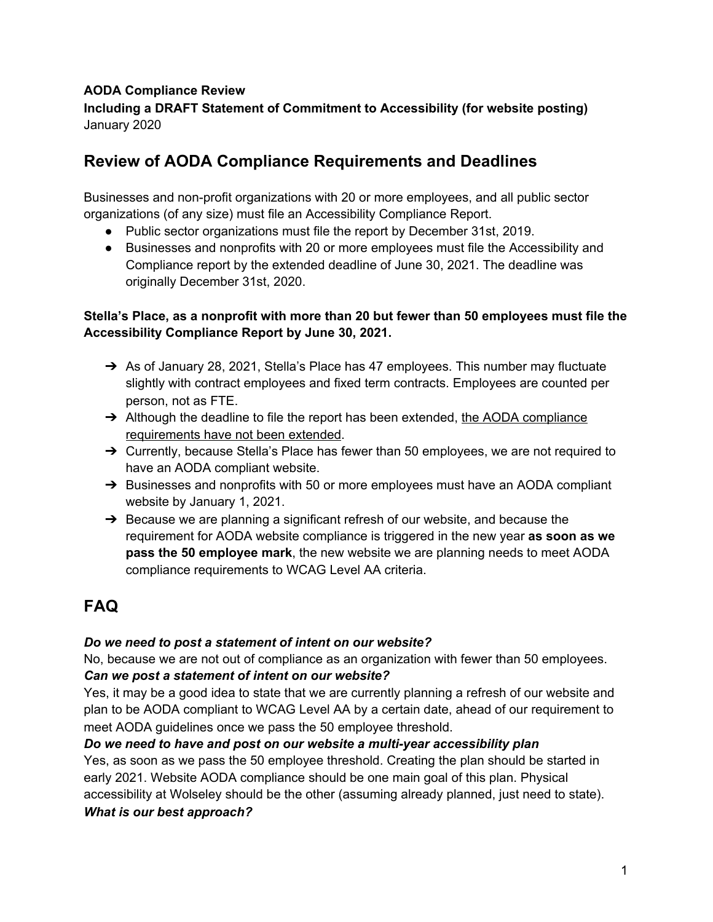#### **AODA Compliance Review**

**Including a DRAFT Statement of Commitment to Accessibility (for website posting)** January 2020

## **Review of AODA Compliance Requirements and Deadlines**

Businesses and non-profit organizations with 20 or more employees, and all public sector organizations (of any size) must file an Accessibility Compliance Report.

- Public sector organizations must file the report by December 31st, 2019.
- Businesses and nonprofits with 20 or more employees must file the Accessibility and Compliance report by the extended deadline of June 30, 2021. The deadline was originally December 31st, 2020.

#### **Stella's Place, as a nonprofit with more than 20 but fewer than 50 employees must file the Accessibility Compliance Report by June 30, 2021.**

- $\rightarrow$  As of January 28, 2021, Stella's Place has 47 employees. This number may fluctuate slightly with contract employees and fixed term contracts. Employees are counted per person, not as FTE.
- $\rightarrow$  Although the deadline to file the report has been extended, the AODA compliance requirements have not been extended.
- $\rightarrow$  Currently, because Stella's Place has fewer than 50 employees, we are not required to have an AODA compliant website.
- $\rightarrow$  Businesses and nonprofits with 50 or more employees must have an AODA compliant website by January 1, 2021.
- $\rightarrow$  Because we are planning a significant refresh of our website, and because the requirement for AODA website compliance is triggered in the new year **as soon as we pass the 50 employee mark**, the new website we are planning needs to meet AODA compliance requirements to WCAG Level AA criteria.

# **FAQ**

#### *Do we need to post a statement of intent on our website?*

No, because we are not out of compliance as an organization with fewer than 50 employees. *Can we post a statement of intent on our website?*

Yes, it may be a good idea to state that we are currently planning a refresh of our website and plan to be AODA compliant to WCAG Level AA by a certain date, ahead of our requirement to meet AODA guidelines once we pass the 50 employee threshold.

#### *Do we need to have and post on our website a multi-year accessibility plan*

Yes, as soon as we pass the 50 employee threshold. Creating the plan should be started in early 2021. Website AODA compliance should be one main goal of this plan. Physical accessibility at Wolseley should be the other (assuming already planned, just need to state). *What is our best approach?*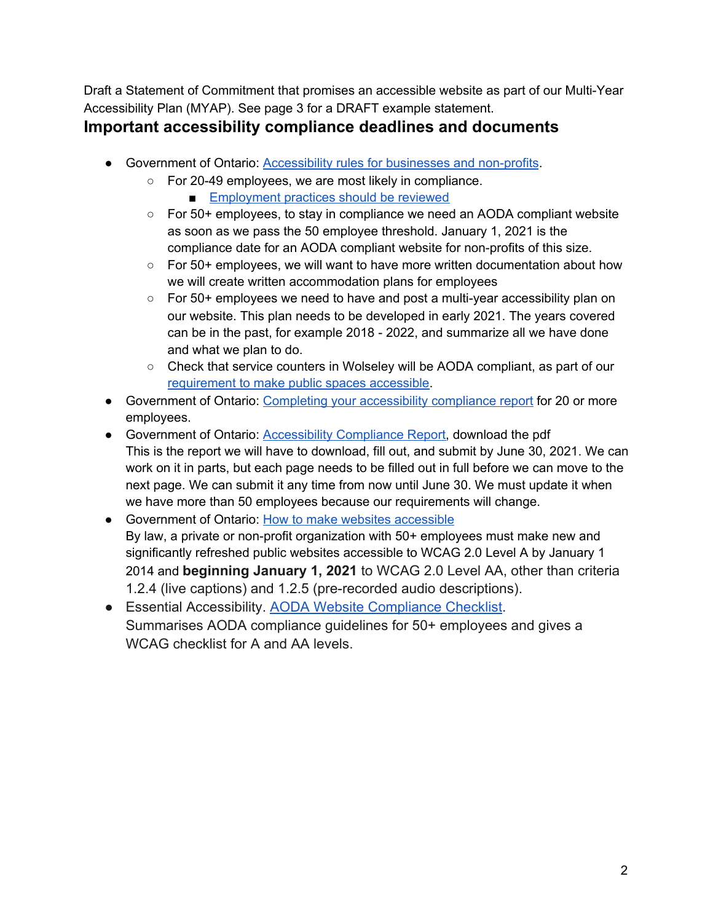Draft a Statement of Commitment that promises an accessible website as part of our Multi-Year Accessibility Plan (MYAP). See page 3 for a DRAFT example statement.

## **Important accessibility compliance deadlines and documents**

- Government of Ontario: [Accessibility](https://www.ontario.ca/page/accessibility-rules-businesses-and-non-profits#section-2) rules for businesses and non-profits.
	- For 20-49 employees, we are most likely in compliance.
		- [Employment](https://www.ontario.ca/page/accessible-workplaces) practices should be reviewed
	- For 50+ employees, to stay in compliance we need an AODA compliant website as soon as we pass the 50 employee threshold. January 1, 2021 is the compliance date for an AODA compliant website for non-profits of this size.
	- For 50+ employees, we will want to have more written documentation about how we will create written accommodation plans for employees
	- For 50+ employees we need to have and post a multi-year accessibility plan on our website. This plan needs to be developed in early 2021. The years covered can be in the past, for example 2018 - 2022, and summarize all we have done and what we plan to do.
	- Check that service counters in Wolseley will be AODA compliant, as part of our [requirement](https://www.ontario.ca/page/how-make-public-spaces-accessible) to make public spaces accessible.
- Government of Ontario: Completing your [accessibility](https://www.ontario.ca/page/completing-your-accessibility-compliance-report) compliance report for 20 or more employees.
- Government of Ontario: [Accessibility](http://www.forms.ssb.gov.on.ca/mbs/ssb/forms/ssbforms.nsf/FormDetail?OpenForm&ACT=RDR&TAB=PROFILE&SRCH=&ENV=WWE&TIT=0237&NO=009-00237E) Compliance Report, download the pdf This is the report we will have to download, fill out, and submit by June 30, 2021. We can work on it in parts, but each page needs to be filled out in full before we can move to the next page. We can submit it any time from now until June 30. We must update it when we have more than 50 employees because our requirements will change.
- Government of Ontario: How to make websites [accessible](http://ontario.ca/page/how-make-websites-accessible) By law, a private or non-profit organization with 50+ employees must make new and significantly refreshed public websites accessible to WCAG 2.0 Level A by January 1 2014 and **beginning January 1, 2021** to WCAG 2.0 Level AA, other than criteria 1.2.4 (live captions) and 1.2.5 (pre-recorded audio descriptions).
- Essential Accessibility. [AODA Website Compliance Checklist](https://drive.google.com/file/d/1RBtXwo8b4JrQJeYi74gKc8CMFvgi2eTS/view?usp=sharing). Summarises AODA compliance guidelines for 50+ employees and gives a WCAG checklist for A and AA levels.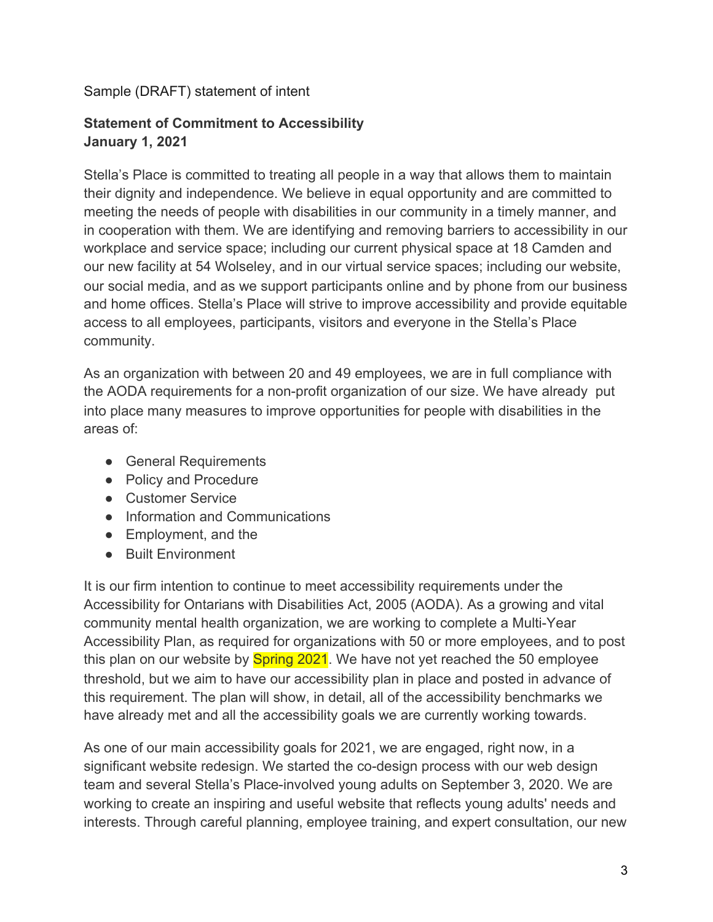### Sample (DRAFT) statement of intent

### **Statement of Commitment to Accessibility January 1, 2021**

Stella's Place is committed to treating all people in a way that allows them to maintain their dignity and independence. We believe in equal opportunity and are committed to meeting the needs of people with disabilities in our community in a timely manner, and in cooperation with them. We are identifying and removing barriers to accessibility in our workplace and service space; including our current physical space at 18 Camden and our new facility at 54 Wolseley, and in our virtual service spaces; including our website, our social media, and as we support participants online and by phone from our business and home offices. Stella's Place will strive to improve accessibility and provide equitable access to all employees, participants, visitors and everyone in the Stella's Place community.

As an organization with between 20 and 49 employees, we are in full compliance with the AODA requirements for a non-profit organization of our size. We have already put into place many measures to improve opportunities for people with disabilities in the areas of:

- General Requirements
- Policy and Procedure
- Customer Service
- Information and Communications
- Employment, and the
- Built Environment

It is our firm intention to continue to meet accessibility requirements under the Accessibility for Ontarians with Disabilities Act, 2005 (AODA). As a growing and vital community mental health organization, we are working to complete a Multi-Year Accessibility Plan, as required for organizations with 50 or more employees, and to post this plan on our website by **Spring 2021**. We have not yet reached the 50 employee threshold, but we aim to have our accessibility plan in place and posted in advance of this requirement. The plan will show, in detail, all of the accessibility benchmarks we have already met and all the accessibility goals we are currently working towards.

As one of our main accessibility goals for 2021, we are engaged, right now, in a significant website redesign. We started the co-design process with our web design team and several Stella's Place-involved young adults on September 3, 2020. We are working to create an inspiring and useful website that reflects young adults' needs and interests. Through careful planning, employee training, and expert consultation, our new